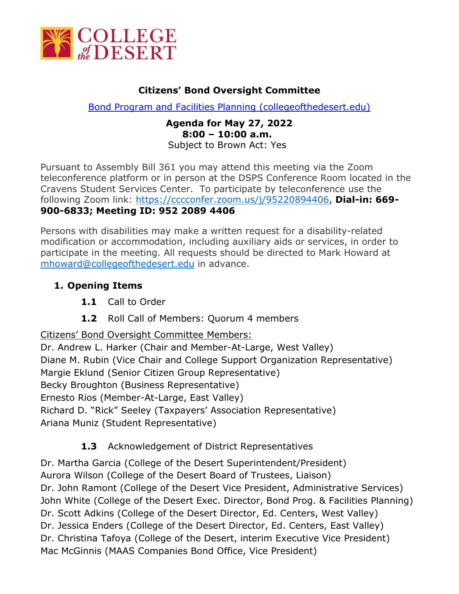

#### **Citizens' Bond Oversight Committee**

[Bond Program and Facilities Planning \(collegeofthedesert.edu\)](https://www.collegeofthedesert.edu/community/facility-plan/default.php)

#### **Agenda for May 27, 2022 8:00 – 10:00 a.m.** Subject to Brown Act: Yes

Pursuant to Assembly Bill 361 you may attend this meeting via the Zoom teleconference platform or in person at the DSPS Conference Room located in the Cravens Student Services Center. To participate by teleconference use the following Zoom link: [https://cccconfer.zoom.us/j/95220894406,](https://cccconfer.zoom.us/j/95220894406) **Dial-in: 669- 900-6833; Meeting ID: 952 2089 4406**

Persons with disabilities may make a written request for a disability-related modification or accommodation, including auxiliary aids or services, in order to participate in the meeting. All requests should be directed to Mark Howard at [mhoward@collegeofthedesert.edu](mailto:mhoward@collegeofthedesert.edu) in advance.

# **1. Opening Items**

- **1.1** Call to Order
- **1.2** Roll Call of Members: Quorum 4 members

Citizens' Bond Oversight Committee Members:

Dr. Andrew L. Harker (Chair and Member-At-Large, West Valley) Diane M. Rubin (Vice Chair and College Support Organization Representative) Margie Eklund (Senior Citizen Group Representative) Becky Broughton (Business Representative) Ernesto Rios (Member-At-Large, East Valley) Richard D. "Rick" Seeley (Taxpayers' Association Representative) Ariana Muniz (Student Representative)

# **1.3** Acknowledgement of District Representatives

Dr. Martha Garcia (College of the Desert Superintendent/President) Aurora Wilson (College of the Desert Board of Trustees, Liaison) Dr. John Ramont (College of the Desert Vice President, Administrative Services) John White (College of the Desert Exec. Director, Bond Prog. & Facilities Planning) Dr. Scott Adkins (College of the Desert Director, Ed. Centers, West Valley) Dr. Jessica Enders (College of the Desert Director, Ed. Centers, East Valley) Dr. Christina Tafoya (College of the Desert, interim Executive Vice President) Mac McGinnis (MAAS Companies Bond Office, Vice President)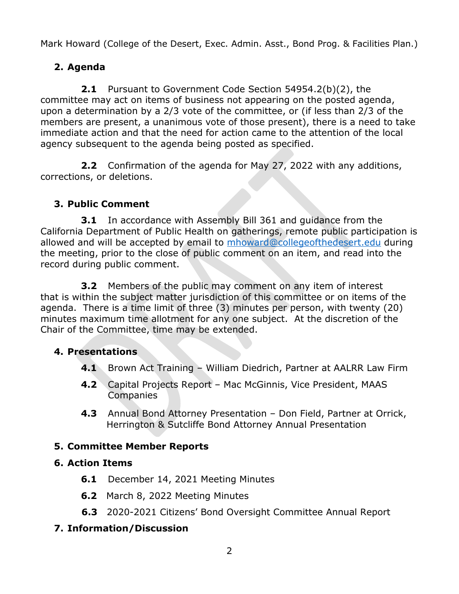Mark Howard (College of the Desert, Exec. Admin. Asst., Bond Prog. & Facilities Plan.)

# **2. Agenda**

**2.1** Pursuant to Government Code Section 54954.2(b)(2), the committee may act on items of business not appearing on the posted agenda, upon a determination by a 2/3 vote of the committee, or (if less than 2/3 of the members are present, a unanimous vote of those present), there is a need to take immediate action and that the need for action came to the attention of the local agency subsequent to the agenda being posted as specified.

**2.2** Confirmation of the agenda for May 27, 2022 with any additions, corrections, or deletions.

# **3. Public Comment**

**3.1** In accordance with Assembly Bill 361 and guidance from the California Department of Public Health on gatherings, remote public participation is allowed and will be accepted by email to [mhoward@collegeofthedesert.edu](mailto:howard@collegeofthedesert.edu) during the meeting, prior to the close of public comment on an item, and read into the record during public comment.

**3.2** Members of the public may comment on any item of interest that is within the subject matter jurisdiction of this committee or on items of the agenda. There is a time limit of three (3) minutes per person, with twenty (20) minutes maximum time allotment for any one subject. At the discretion of the Chair of the Committee, time may be extended.

# **4. Presentations**

- **4.1** Brown Act Training William Diedrich, Partner at AALRR Law Firm
- **4.2** Capital Projects Report Mac McGinnis, Vice President, MAAS **Companies**
- **4.3** Annual Bond Attorney Presentation Don Field, Partner at Orrick, Herrington & Sutcliffe Bond Attorney Annual Presentation

# **5. Committee Member Reports**

#### **6. Action Items**

- **6.1** December 14, 2021 Meeting Minutes
- **6.2** March 8, 2022 Meeting Minutes
- **6.3** 2020-2021 Citizens' Bond Oversight Committee Annual Report

# **7. Information/Discussion**